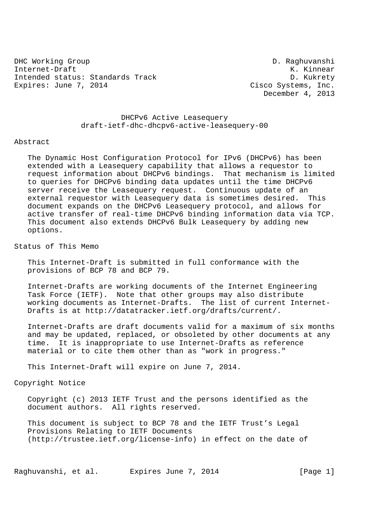DHC Working Group D. Raghuvanshi Internet-Draft K. Kinnear Intended status: Standards Track D. Kukrety Expires: June 7, 2014 Cisco Systems, Inc.

December 4, 2013

 DHCPv6 Active Leasequery draft-ietf-dhc-dhcpv6-active-leasequery-00

#### Abstract

 The Dynamic Host Configuration Protocol for IPv6 (DHCPv6) has been extended with a Leasequery capability that allows a requestor to request information about DHCPv6 bindings. That mechanism is limited to queries for DHCPv6 binding data updates until the time DHCPv6 server receive the Leasequery request. Continuous update of an external requestor with Leasequery data is sometimes desired. This document expands on the DHCPv6 Leasequery protocol, and allows for active transfer of real-time DHCPv6 binding information data via TCP. This document also extends DHCPv6 Bulk Leasequery by adding new options.

Status of This Memo

 This Internet-Draft is submitted in full conformance with the provisions of BCP 78 and BCP 79.

 Internet-Drafts are working documents of the Internet Engineering Task Force (IETF). Note that other groups may also distribute working documents as Internet-Drafts. The list of current Internet- Drafts is at http://datatracker.ietf.org/drafts/current/.

 Internet-Drafts are draft documents valid for a maximum of six months and may be updated, replaced, or obsoleted by other documents at any time. It is inappropriate to use Internet-Drafts as reference material or to cite them other than as "work in progress."

This Internet-Draft will expire on June 7, 2014.

Copyright Notice

 Copyright (c) 2013 IETF Trust and the persons identified as the document authors. All rights reserved.

 This document is subject to BCP 78 and the IETF Trust's Legal Provisions Relating to IETF Documents (http://trustee.ietf.org/license-info) in effect on the date of

Raghuvanshi, et al. Expires June 7, 2014 [Page 1]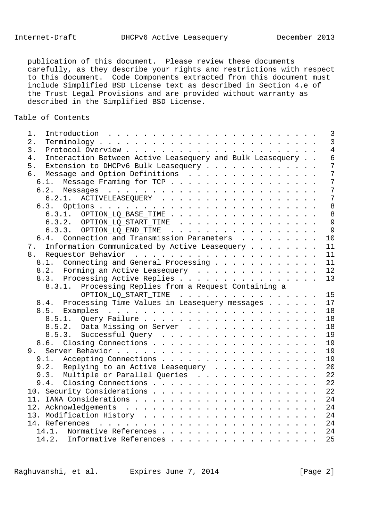publication of this document. Please review these documents carefully, as they describe your rights and restrictions with respect to this document. Code Components extracted from this document must include Simplified BSD License text as described in Section 4.e of the Trust Legal Provisions and are provided without warranty as described in the Simplified BSD License.

## Table of Contents

| 1.                                                              | $\overline{3}$          |
|-----------------------------------------------------------------|-------------------------|
| 2.                                                              | $\overline{3}$          |
| 3.                                                              | $\overline{4}$          |
| Interaction Between Active Leasequery and Bulk Leasequery<br>4. | $\overline{6}$          |
| 5. Extension to DHCPv6 Bulk Leasequery                          | $\overline{7}$          |
| 6. Message and Option Definitions                               | $\overline{7}$          |
| 6.1. Message Framing for TCP                                    | $\overline{7}$          |
|                                                                 | $\overline{7}$          |
| 6.2.1. ACTIVELEASEQUERY                                         | $\overline{7}$          |
|                                                                 | 8                       |
| 6.3.1. OPTION_LQ_BASE_TIME 8                                    |                         |
| $6.3.2.$ OPTION_LQ_START_TIME                                   | 9                       |
| 6.3.3. OPTION_LQ_END_TIME                                       | 9                       |
| 6.4. Connection and Transmission Parameters                     | 10                      |
| 7. Information Communicated by Active Leasequery                | 11                      |
|                                                                 | 11                      |
| 8.1. Connecting and General Processing                          | 11                      |
| 8.2. Forming an Active Leasequery                               | 12                      |
| 8.3. Processing Active Replies 13                               |                         |
|                                                                 |                         |
| 8.3.1. Processing Replies from a Request Containing a           |                         |
|                                                                 | OPTION_LQ_START_TIME 15 |
| 8.4. Processing Time Values in Leasequery messages 17           |                         |
|                                                                 |                         |
|                                                                 | 18                      |
| 8.5.2. Data Missing on Server                                   | 18                      |
| 8.5.3. Successful Query                                         | 19                      |
|                                                                 | 19                      |
|                                                                 | 19                      |
| 9.1. Accepting Connections                                      | 19                      |
| 9.2. Replying to an Active Leasequery 20                        |                         |
| 9.3. Multiple or Parallel Queries 22                            |                         |
| 9.4. Closing Connections 22                                     |                         |
| 10. Security Considerations 22                                  |                         |
|                                                                 | 24                      |
|                                                                 |                         |
|                                                                 |                         |
|                                                                 |                         |
| 14.1. Normative References 24                                   |                         |
| 14.2. Informative References                                    | 25                      |

Raghuvanshi, et al. Expires June 7, 2014 [Page 2]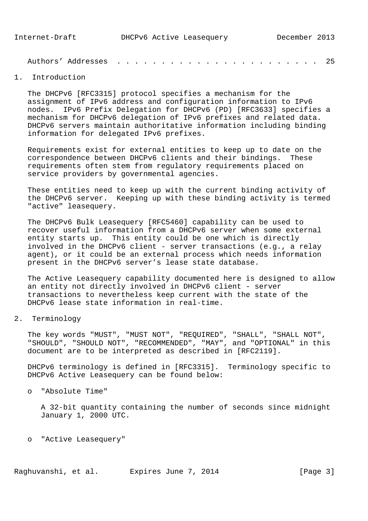Authors' Addresses . . . . . . . . . . . . . . . . . . . . . . . 25

# 1. Introduction

 The DHCPv6 [RFC3315] protocol specifies a mechanism for the assignment of IPv6 address and configuration information to IPv6 nodes. IPv6 Prefix Delegation for DHCPv6 (PD) [RFC3633] specifies a mechanism for DHCPv6 delegation of IPv6 prefixes and related data. DHCPv6 servers maintain authoritative information including binding information for delegated IPv6 prefixes.

 Requirements exist for external entities to keep up to date on the correspondence between DHCPv6 clients and their bindings. These requirements often stem from regulatory requirements placed on service providers by governmental agencies.

 These entities need to keep up with the current binding activity of the DHCPv6 server. Keeping up with these binding activity is termed "active" leasequery.

 The DHCPv6 Bulk Leasequery [RFC5460] capability can be used to recover useful information from a DHCPv6 server when some external entity starts up. This entity could be one which is directly involved in the DHCPv6 client - server transactions (e.g., a relay agent), or it could be an external process which needs information present in the DHCPv6 server's lease state database.

 The Active Leasequery capability documented here is designed to allow an entity not directly involved in DHCPv6 client - server transactions to nevertheless keep current with the state of the DHCPv6 lease state information in real-time.

2. Terminology

 The key words "MUST", "MUST NOT", "REQUIRED", "SHALL", "SHALL NOT", "SHOULD", "SHOULD NOT", "RECOMMENDED", "MAY", and "OPTIONAL" in this document are to be interpreted as described in [RFC2119].

 DHCPv6 terminology is defined in [RFC3315]. Terminology specific to DHCPv6 Active Leasequery can be found below:

o "Absolute Time"

 A 32-bit quantity containing the number of seconds since midnight January 1, 2000 UTC.

o "Active Leasequery"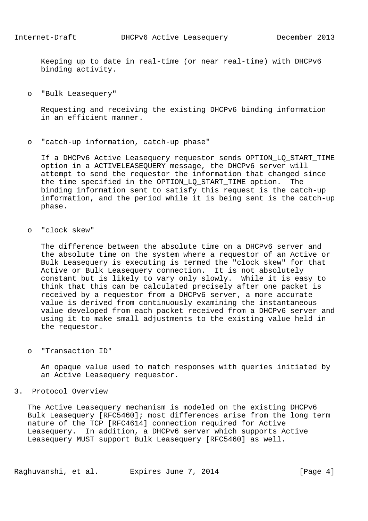Keeping up to date in real-time (or near real-time) with DHCPv6 binding activity.

o "Bulk Leasequery"

 Requesting and receiving the existing DHCPv6 binding information in an efficient manner.

o "catch-up information, catch-up phase"

 If a DHCPv6 Active Leasequery requestor sends OPTION\_LQ\_START\_TIME option in a ACTIVELEASEQUERY message, the DHCPv6 server will attempt to send the requestor the information that changed since the time specified in the OPTION LO START TIME option. The binding information sent to satisfy this request is the catch-up information, and the period while it is being sent is the catch-up phase.

o "clock skew"

 The difference between the absolute time on a DHCPv6 server and the absolute time on the system where a requestor of an Active or Bulk Leasequery is executing is termed the "clock skew" for that Active or Bulk Leasequery connection. It is not absolutely constant but is likely to vary only slowly. While it is easy to think that this can be calculated precisely after one packet is received by a requestor from a DHCPv6 server, a more accurate value is derived from continuously examining the instantaneous value developed from each packet received from a DHCPv6 server and using it to make small adjustments to the existing value held in the requestor.

o "Transaction ID"

 An opaque value used to match responses with queries initiated by an Active Leasequery requestor.

## 3. Protocol Overview

 The Active Leasequery mechanism is modeled on the existing DHCPv6 Bulk Leasequery [RFC5460]; most differences arise from the long term nature of the TCP [RFC4614] connection required for Active Leasequery. In addition, a DHCPv6 server which supports Active Leasequery MUST support Bulk Leasequery [RFC5460] as well.

Raghuvanshi, et al. Expires June 7, 2014 [Page 4]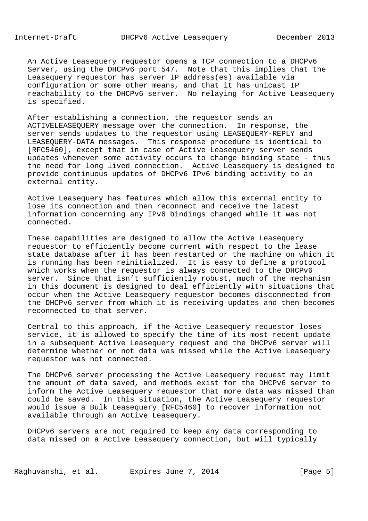An Active Leasequery requestor opens a TCP connection to a DHCPv6 Server, using the DHCPv6 port 547. Note that this implies that the Leasequery requestor has server IP address(es) available via configuration or some other means, and that it has unicast IP reachability to the DHCPv6 server. No relaying for Active Leasequery is specified.

 After establishing a connection, the requestor sends an ACTIVELEASEQUERY message over the connection. In response, the server sends updates to the requestor using LEASEQUERY-REPLY and LEASEQUERY-DATA messages. This response procedure is identical to [RFC5460], except that in case of Active Leasequery server sends updates whenever some activity occurs to change binding state - thus the need for long lived connection. Active Leasequery is designed to provide continuous updates of DHCPv6 IPv6 binding activity to an external entity.

 Active Leasequery has features which allow this external entity to lose its connection and then reconnect and receive the latest information concerning any IPv6 bindings changed while it was not connected.

 These capabilities are designed to allow the Active Leasequery requestor to efficiently become current with respect to the lease state database after it has been restarted or the machine on which it is running has been reinitialized. It is easy to define a protocol which works when the requestor is always connected to the DHCPv6 server. Since that isn't sufficiently robust, much of the mechanism in this document is designed to deal efficiently with situations that occur when the Active Leasequery requestor becomes disconnected from the DHCPv6 server from which it is receiving updates and then becomes reconnected to that server.

 Central to this approach, if the Active Leasequery requestor loses service, it is allowed to specify the time of its most recent update in a subsequent Active Leasequery request and the DHCPv6 server will determine whether or not data was missed while the Active Leasequery requestor was not connected.

 The DHCPv6 server processing the Active Leasequery request may limit the amount of data saved, and methods exist for the DHCPv6 server to inform the Active Leasequery requestor that more data was missed than could be saved. In this situation, the Active Leasequery requestor would issue a Bulk Leasequery [RFC5460] to recover information not available through an Active Leasequery.

 DHCPv6 servers are not required to keep any data corresponding to data missed on a Active Leasequery connection, but will typically

Raghuvanshi, et al. Expires June 7, 2014 [Page 5]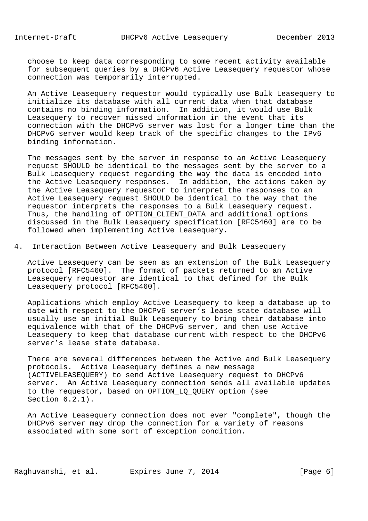choose to keep data corresponding to some recent activity available for subsequent queries by a DHCPv6 Active Leasequery requestor whose connection was temporarily interrupted.

 An Active Leasequery requestor would typically use Bulk Leasequery to initialize its database with all current data when that database contains no binding information. In addition, it would use Bulk Leasequery to recover missed information in the event that its connection with the DHCPv6 server was lost for a longer time than the DHCPv6 server would keep track of the specific changes to the IPv6 binding information.

 The messages sent by the server in response to an Active Leasequery request SHOULD be identical to the messages sent by the server to a Bulk Leasequery request regarding the way the data is encoded into the Active Leasequery responses. In addition, the actions taken by the Active Leasequery requestor to interpret the responses to an Active Leasequery request SHOULD be identical to the way that the requestor interprets the responses to a Bulk Leasequery request. Thus, the handling of OPTION CLIENT DATA and additional options discussed in the Bulk Leasequery specification [RFC5460] are to be followed when implementing Active Leasequery.

4. Interaction Between Active Leasequery and Bulk Leasequery

 Active Leasequery can be seen as an extension of the Bulk Leasequery protocol [RFC5460]. The format of packets returned to an Active Leasequery requestor are identical to that defined for the Bulk Leasequery protocol [RFC5460].

 Applications which employ Active Leasequery to keep a database up to date with respect to the DHCPv6 server's lease state database will usually use an initial Bulk Leasequery to bring their database into equivalence with that of the DHCPv6 server, and then use Active Leasequery to keep that database current with respect to the DHCPv6 server's lease state database.

 There are several differences between the Active and Bulk Leasequery protocols. Active Leasequery defines a new message (ACTIVELEASEQUERY) to send Active Leasequery request to DHCPv6 server. An Active Leasequery connection sends all available updates to the requestor, based on OPTION\_LQ\_QUERY option (see Section 6.2.1).

 An Active Leasequery connection does not ever "complete", though the DHCPv6 server may drop the connection for a variety of reasons associated with some sort of exception condition.

Raghuvanshi, et al. Expires June 7, 2014 [Page 6]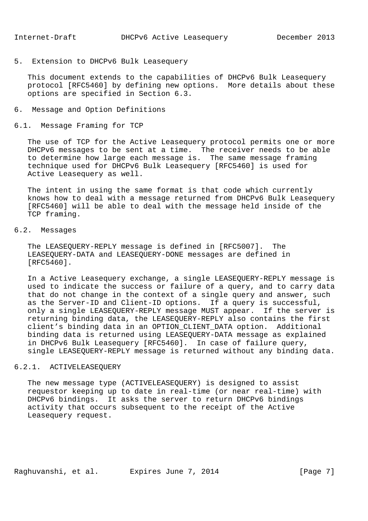5. Extension to DHCPv6 Bulk Leasequery

 This document extends to the capabilities of DHCPv6 Bulk Leasequery protocol [RFC5460] by defining new options. More details about these options are specified in Section 6.3.

- 6. Message and Option Definitions
- 6.1. Message Framing for TCP

 The use of TCP for the Active Leasequery protocol permits one or more DHCPv6 messages to be sent at a time. The receiver needs to be able to determine how large each message is. The same message framing technique used for DHCPv6 Bulk Leasequery [RFC5460] is used for Active Leasequery as well.

 The intent in using the same format is that code which currently knows how to deal with a message returned from DHCPv6 Bulk Leasequery [RFC5460] will be able to deal with the message held inside of the TCP framing.

## 6.2. Messages

 The LEASEQUERY-REPLY message is defined in [RFC5007]. The LEASEQUERY-DATA and LEASEQUERY-DONE messages are defined in [RFC5460].

 In a Active Leasequery exchange, a single LEASEQUERY-REPLY message is used to indicate the success or failure of a query, and to carry data that do not change in the context of a single query and answer, such as the Server-ID and Client-ID options. If a query is successful, only a single LEASEQUERY-REPLY message MUST appear. If the server is returning binding data, the LEASEQUERY-REPLY also contains the first client's binding data in an OPTION\_CLIENT\_DATA option. Additional binding data is returned using LEASEQUERY-DATA message as explained in DHCPv6 Bulk Leasequery [RFC5460]. In case of failure query, single LEASEQUERY-REPLY message is returned without any binding data.

# 6.2.1. ACTIVELEASEQUERY

 The new message type (ACTIVELEASEQUERY) is designed to assist requestor keeping up to date in real-time (or near real-time) with DHCPv6 bindings. It asks the server to return DHCPv6 bindings activity that occurs subsequent to the receipt of the Active Leasequery request.

Raghuvanshi, et al. Expires June 7, 2014 [Page 7]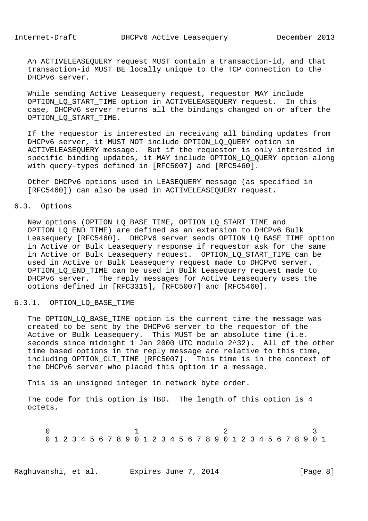An ACTIVELEASEQUERY request MUST contain a transaction-id, and that transaction-id MUST BE locally unique to the TCP connection to the DHCPv6 server.

 While sending Active Leasequery request, requestor MAY include OPTION\_LQ\_START\_TIME option in ACTIVELEASEQUERY request. In this case, DHCPv6 server returns all the bindings changed on or after the OPTION\_LQ\_START\_TIME.

 If the requestor is interested in receiving all binding updates from DHCPv6 server, it MUST NOT include OPTION\_LQ\_QUERY option in ACTIVELEASEQUERY message. But if the requestor is only interested in specific binding updates, it MAY include OPTION\_LQ\_QUERY option along with query-types defined in [RFC5007] and [RFC5460].

 Other DHCPv6 options used in LEASEQUERY message (as specified in [RFC5460]) can also be used in ACTIVELEASEQUERY request.

## 6.3. Options

 New options (OPTION\_LQ\_BASE\_TIME, OPTION\_LQ\_START\_TIME and OPTION LO END TIME) are defined as an extension to DHCPv6 Bulk Leasequery [RFC5460]. DHCPv6 server sends OPTION\_LQ\_BASE\_TIME option in Active or Bulk Leasequery response if requestor ask for the same in Active or Bulk Leasequery request. OPTION\_LQ\_START\_TIME can be used in Active or Bulk Leasequery request made to DHCPv6 server. OPTION\_LQ\_END\_TIME can be used in Bulk Leasequery request made to DHCPv6 server. The reply messages for Active Leasequery uses the options defined in [RFC3315], [RFC5007] and [RFC5460].

## 6.3.1. OPTION\_LQ\_BASE\_TIME

The OPTION\_LQ\_BASE\_TIME option is the current time the message was created to be sent by the DHCPv6 server to the requestor of the Active or Bulk Leasequery. This MUST be an absolute time (i.e. seconds since midnight 1 Jan 2000 UTC modulo 2^32). All of the other time based options in the reply message are relative to this time, including OPTION CLT TIME [RFC5007]. This time is in the context of the DHCPv6 server who placed this option in a message.

This is an unsigned integer in network byte order.

 The code for this option is TBD. The length of this option is 4 octets.

 $0$  and  $1$  and  $2$  3 0 1 2 3 4 5 6 7 8 9 0 1 2 3 4 5 6 7 8 9 0 1 2 3 4 5 6 7 8 9 0 1

Raghuvanshi, et al. Expires June 7, 2014 [Page 8]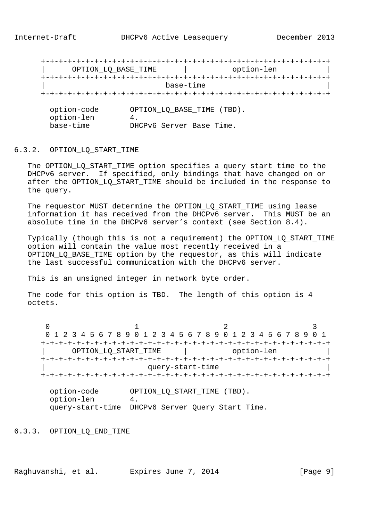+-+-+-+-+-+-+-+-+-+-+-+-+-+-+-+-+-+-+-+-+-+-+-+-+-+-+-+-+-+-+-+-+ | OPTION\_LQ\_BASE\_TIME | option-len | +-+-+-+-+-+-+-+-+-+-+-+-+-+-+-+-+-+-+-+-+-+-+-+-+-+-+-+-+-+-+-+-+ | base-time | +-+-+-+-+-+-+-+-+-+-+-+-+-+-+-+-+-+-+-+-+-+-+-+-+-+-+-+-+-+-+-+-+ option-code OPTION\_LQ\_BASE\_TIME (TBD).<br>option-len 4. option-len<br>base-time

DHCPv6 Server Base Time.

#### 6.3.2. OPTION\_LQ\_START\_TIME

 The OPTION\_LQ\_START\_TIME option specifies a query start time to the DHCPv6 server. If specified, only bindings that have changed on or after the OPTION LO START TIME should be included in the response to the query.

The requestor MUST determine the OPTION LO START TIME using lease information it has received from the DHCPv6 server. This MUST be an absolute time in the DHCPv6 server's context (see Section 8.4).

 Typically (though this is not a requirement) the OPTION\_LQ\_START\_TIME option will contain the value most recently received in a OPTION\_LQ\_BASE\_TIME option by the requestor, as this will indicate the last successful communication with the DHCPv6 server.

This is an unsigned integer in network byte order.

The code for this option is TBD. The length of this option is 4 octets.

 $0$  and  $1$  and  $2$  3 0 1 2 3 4 5 6 7 8 9 0 1 2 3 4 5 6 7 8 9 0 1 2 3 4 5 6 7 8 9 0 1 +-+-+-+-+-+-+-+-+-+-+-+-+-+-+-+-+-+-+-+-+-+-+-+-+-+-+-+-+-+-+-+-+ | OPTION\_LQ\_START\_TIME | option-len | +-+-+-+-+-+-+-+-+-+-+-+-+-+-+-+-+-+-+-+-+-+-+-+-+-+-+-+-+-+-+-+-+ query-start-time +-+-+-+-+-+-+-+-+-+-+-+-+-+-+-+-+-+-+-+-+-+-+-+-+-+-+-+-+-+-+-+-+

 option-code OPTION\_LQ\_START\_TIME (TBD). option-len 4. query-start-time DHCPv6 Server Query Start Time.

6.3.3. OPTION\_LQ\_END\_TIME

Raghuvanshi, et al. Expires June 7, 2014 [Page 9]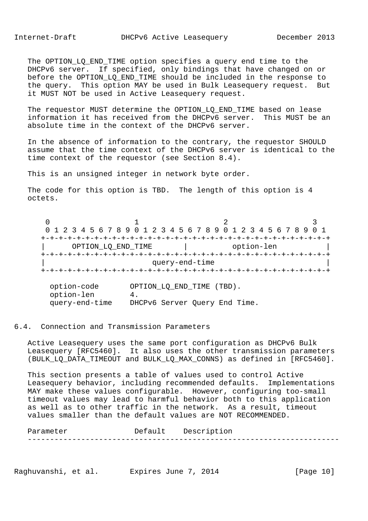The OPTION LQ END TIME option specifies a query end time to the DHCPv6 server. If specified, only bindings that have changed on or before the OPTION\_LQ\_END\_TIME should be included in the response to the query. This option MAY be used in Bulk Leasequery request. But it MUST NOT be used in Active Leasequery request.

 The requestor MUST determine the OPTION\_LQ\_END\_TIME based on lease information it has received from the DHCPv6 server. This MUST be an absolute time in the context of the DHCPv6 server.

 In the absence of information to the contrary, the requestor SHOULD assume that the time context of the DHCPv6 server is identical to the time context of the requestor (see Section 8.4).

This is an unsigned integer in network byte order.

The code for this option is TBD. The length of this option is 4 octets.

 $0$  and  $1$  and  $2$  3 0 1 2 3 4 5 6 7 8 9 0 1 2 3 4 5 6 7 8 9 0 1 2 3 4 5 6 7 8 9 0 1 +-+-+-+-+-+-+-+-+-+-+-+-+-+-+-+-+-+-+-+-+-+-+-+-+-+-+-+-+-+-+-+-+ | OPTION\_LQ\_END\_TIME | option-len | +-+-+-+-+-+-+-+-+-+-+-+-+-+-+-+-+-+-+-+-+-+-+-+-+-+-+-+-+-+-+-+-+ query-end-time +-+-+-+-+-+-+-+-+-+-+-+-+-+-+-+-+-+-+-+-+-+-+-+-+-+-+-+-+-+-+-+-+

 option-code OPTION\_LQ\_END\_TIME (TBD). option-len 4. query-end-time DHCPv6 Server Query End Time.

#### 6.4. Connection and Transmission Parameters

 Active Leasequery uses the same port configuration as DHCPv6 Bulk Leasequery [RFC5460]. It also uses the other transmission parameters (BULK\_LQ\_DATA\_TIMEOUT and BULK\_LQ\_MAX\_CONNS) as defined in [RFC5460].

 This section presents a table of values used to control Active Leasequery behavior, including recommended defaults. Implementations MAY make these values configurable. However, configuring too-small timeout values may lead to harmful behavior both to this application as well as to other traffic in the network. As a result, timeout values smaller than the default values are NOT RECOMMENDED.

Parameter Default Description ----------------------------------------------------------------------

Raghuvanshi, et al. Expires June 7, 2014 [Page 10]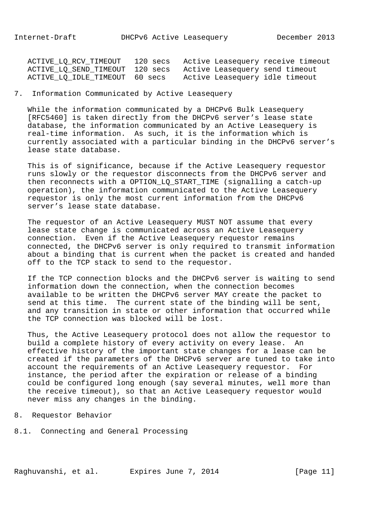| ACTIVE_LQ_RCV_TIMEOUT 120 secs  | Active Leasequery receive timeout |
|---------------------------------|-----------------------------------|
| ACTIVE_LQ_SEND_TIMEOUT 120 secs | Active Leasequery send timeout    |
| ACTIVE_LQ_IDLE_TIMEOUT 60 secs  | Active Leasequery idle timeout    |

## 7. Information Communicated by Active Leasequery

 While the information communicated by a DHCPv6 Bulk Leasequery [RFC5460] is taken directly from the DHCPv6 server's lease state database, the information communicated by an Active Leasequery is real-time information. As such, it is the information which is currently associated with a particular binding in the DHCPv6 server's lease state database.

 This is of significance, because if the Active Leasequery requestor runs slowly or the requestor disconnects from the DHCPv6 server and then reconnects with a OPTION LO START TIME (signalling a catch-up operation), the information communicated to the Active Leasequery requestor is only the most current information from the DHCPv6 server's lease state database.

 The requestor of an Active Leasequery MUST NOT assume that every lease state change is communicated across an Active Leasequery connection. Even if the Active Leasequery requestor remains connected, the DHCPv6 server is only required to transmit information about a binding that is current when the packet is created and handed off to the TCP stack to send to the requestor.

 If the TCP connection blocks and the DHCPv6 server is waiting to send information down the connection, when the connection becomes available to be written the DHCPv6 server MAY create the packet to send at this time. The current state of the binding will be sent, and any transition in state or other information that occurred while the TCP connection was blocked will be lost.

 Thus, the Active Leasequery protocol does not allow the requestor to build a complete history of every activity on every lease. An effective history of the important state changes for a lease can be created if the parameters of the DHCPv6 server are tuned to take into account the requirements of an Active Leasequery requestor. For instance, the period after the expiration or release of a binding could be configured long enough (say several minutes, well more than the receive timeout), so that an Active Leasequery requestor would never miss any changes in the binding.

- 8. Requestor Behavior
- 8.1. Connecting and General Processing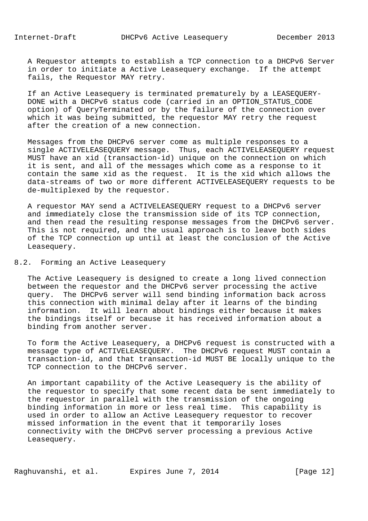A Requestor attempts to establish a TCP connection to a DHCPv6 Server in order to initiate a Active Leasequery exchange. If the attempt fails, the Requestor MAY retry.

 If an Active Leasequery is terminated prematurely by a LEASEQUERY- DONE with a DHCPv6 status code (carried in an OPTION\_STATUS\_CODE option) of QueryTerminated or by the failure of the connection over which it was being submitted, the requestor MAY retry the request after the creation of a new connection.

 Messages from the DHCPv6 server come as multiple responses to a single ACTIVELEASEQUERY message. Thus, each ACTIVELEASEQUERY request MUST have an xid (transaction-id) unique on the connection on which it is sent, and all of the messages which come as a response to it contain the same xid as the request. It is the xid which allows the data-streams of two or more different ACTIVELEASEQUERY requests to be de-multiplexed by the requestor.

 A requestor MAY send a ACTIVELEASEQUERY request to a DHCPv6 server and immediately close the transmission side of its TCP connection, and then read the resulting response messages from the DHCPv6 server. This is not required, and the usual approach is to leave both sides of the TCP connection up until at least the conclusion of the Active Leasequery.

8.2. Forming an Active Leasequery

 The Active Leasequery is designed to create a long lived connection between the requestor and the DHCPv6 server processing the active query. The DHCPv6 server will send binding information back across this connection with minimal delay after it learns of the binding information. It will learn about bindings either because it makes the bindings itself or because it has received information about a binding from another server.

 To form the Active Leasequery, a DHCPv6 request is constructed with a message type of ACTIVELEASEQUERY. The DHCPv6 request MUST contain a transaction-id, and that transaction-id MUST BE locally unique to the TCP connection to the DHCPv6 server.

 An important capability of the Active Leasequery is the ability of the requestor to specify that some recent data be sent immediately to the requestor in parallel with the transmission of the ongoing binding information in more or less real time. This capability is used in order to allow an Active Leasequery requestor to recover missed information in the event that it temporarily loses connectivity with the DHCPv6 server processing a previous Active Leasequery.

Raghuvanshi, et al. Expires June 7, 2014 [Page 12]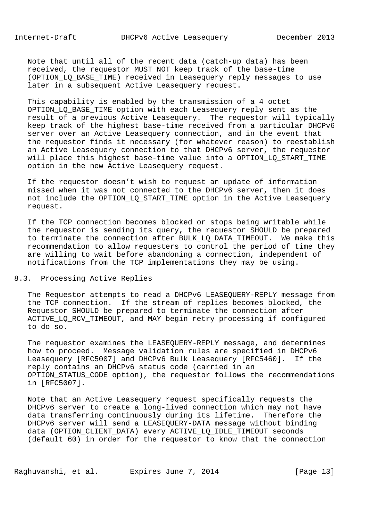Note that until all of the recent data (catch-up data) has been received, the requestor MUST NOT keep track of the base-time (OPTION\_LQ\_BASE\_TIME) received in Leasequery reply messages to use later in a subsequent Active Leasequery request.

 This capability is enabled by the transmission of a 4 octet OPTION\_LQ\_BASE\_TIME option with each Leasequery reply sent as the result of a previous Active Leasequery. The requestor will typically keep track of the highest base-time received from a particular DHCPv6 server over an Active Leasequery connection, and in the event that the requestor finds it necessary (for whatever reason) to reestablish an Active Leasequery connection to that DHCPv6 server, the requestor will place this highest base-time value into a OPTION LO START TIME option in the new Active Leasequery request.

 If the requestor doesn't wish to request an update of information missed when it was not connected to the DHCPv6 server, then it does not include the OPTION\_LQ\_START\_TIME option in the Active Leasequery request.

 If the TCP connection becomes blocked or stops being writable while the requestor is sending its query, the requestor SHOULD be prepared to terminate the connection after BULK\_LQ\_DATA\_TIMEOUT. We make this recommendation to allow requesters to control the period of time they are willing to wait before abandoning a connection, independent of notifications from the TCP implementations they may be using.

## 8.3. Processing Active Replies

 The Requestor attempts to read a DHCPv6 LEASEQUERY-REPLY message from the TCP connection. If the stream of replies becomes blocked, the Requestor SHOULD be prepared to terminate the connection after ACTIVE\_LQ\_RCV\_TIMEOUT, and MAY begin retry processing if configured to do so.

 The requestor examines the LEASEQUERY-REPLY message, and determines how to proceed. Message validation rules are specified in DHCPv6 Leasequery [RFC5007] and DHCPv6 Bulk Leasequery [RFC5460]. If the reply contains an DHCPv6 status code (carried in an OPTION\_STATUS\_CODE option), the requestor follows the recommendations in [RFC5007].

 Note that an Active Leasequery request specifically requests the DHCPv6 server to create a long-lived connection which may not have data transferring continuously during its lifetime. Therefore the DHCPv6 server will send a LEASEQUERY-DATA message without binding data (OPTION\_CLIENT\_DATA) every ACTIVE\_LQ\_IDLE\_TIMEOUT seconds (default 60) in order for the requestor to know that the connection

Raghuvanshi, et al. Expires June 7, 2014 [Page 13]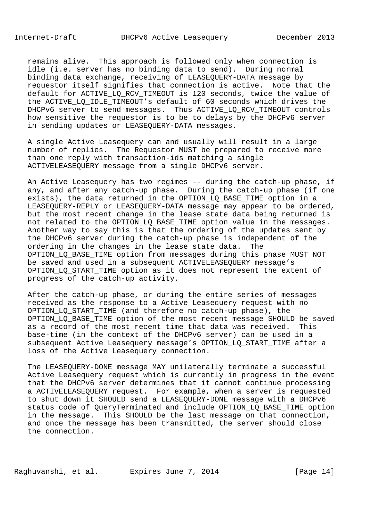remains alive. This approach is followed only when connection is idle (i.e. server has no binding data to send). During normal binding data exchange, receiving of LEASEQUERY-DATA message by requestor itself signifies that connection is active. Note that the default for ACTIVE\_LQ\_RCV\_TIMEOUT is 120 seconds, twice the value of the ACTIVE\_LQ\_IDLE\_TIMEOUT's default of 60 seconds which drives the DHCPv6 server to send messages. Thus ACTIVE\_LQ\_RCV\_TIMEOUT controls how sensitive the requestor is to be to delays by the DHCPv6 server in sending updates or LEASEQUERY-DATA messages.

 A single Active Leasequery can and usually will result in a large number of replies. The Requestor MUST be prepared to receive more than one reply with transaction-ids matching a single ACTIVELEASEQUERY message from a single DHCPv6 server.

 An Active Leasequery has two regimes -- during the catch-up phase, if any, and after any catch-up phase. During the catch-up phase (if one exists), the data returned in the OPTION\_LQ\_BASE\_TIME option in a LEASEQUERY-REPLY or LEASEQUERY-DATA message may appear to be ordered, but the most recent change in the lease state data being returned is not related to the OPTION\_LQ\_BASE\_TIME option value in the messages. Another way to say this is that the ordering of the updates sent by the DHCPv6 server during the catch-up phase is independent of the ordering in the changes in the lease state data. The OPTION\_LQ\_BASE\_TIME option from messages during this phase MUST NOT be saved and used in a subsequent ACTIVELEASEQUERY message's OPTION\_LQ\_START\_TIME option as it does not represent the extent of progress of the catch-up activity.

 After the catch-up phase, or during the entire series of messages received as the response to a Active Leasequery request with no OPTION\_LQ\_START\_TIME (and therefore no catch-up phase), the OPTION\_LQ\_BASE\_TIME option of the most recent message SHOULD be saved as a record of the most recent time that data was received. This base-time (in the context of the DHCPv6 server) can be used in a subsequent Active Leasequery message's OPTION\_LQ\_START\_TIME after a loss of the Active Leasequery connection.

 The LEASEQUERY-DONE message MAY unilaterally terminate a successful Active Leasequery request which is currently in progress in the event that the DHCPv6 server determines that it cannot continue processing a ACTIVELEASEQUERY request. For example, when a server is requested to shut down it SHOULD send a LEASEQUERY-DONE message with a DHCPv6 status code of QueryTerminated and include OPTION\_LQ\_BASE\_TIME option in the message. This SHOULD be the last message on that connection, and once the message has been transmitted, the server should close the connection.

Raghuvanshi, et al. Expires June 7, 2014 [Page 14]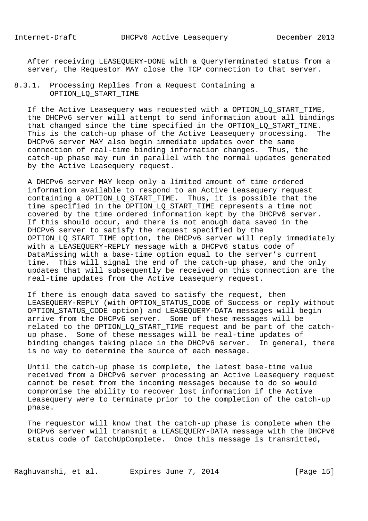After receiving LEASEQUERY-DONE with a QueryTerminated status from a server, the Requestor MAY close the TCP connection to that server.

# 8.3.1. Processing Replies from a Request Containing a OPTION\_LQ\_START\_TIME

 If the Active Leasequery was requested with a OPTION\_LQ\_START\_TIME, the DHCPv6 server will attempt to send information about all bindings that changed since the time specified in the OPTION\_LQ\_START\_TIME. This is the catch-up phase of the Active Leasequery processing. The DHCPv6 server MAY also begin immediate updates over the same connection of real-time binding information changes. Thus, the catch-up phase may run in parallel with the normal updates generated by the Active Leasequery request.

 A DHCPv6 server MAY keep only a limited amount of time ordered information available to respond to an Active Leasequery request containing a OPTION\_LQ\_START\_TIME. Thus, it is possible that the time specified in the OPTION LO START TIME represents a time not covered by the time ordered information kept by the DHCPv6 server. If this should occur, and there is not enough data saved in the DHCPv6 server to satisfy the request specified by the OPTION\_LQ\_START\_TIME option, the DHCPv6 server will reply immediately with a LEASEQUERY-REPLY message with a DHCPv6 status code of DataMissing with a base-time option equal to the server's current time. This will signal the end of the catch-up phase, and the only updates that will subsequently be received on this connection are the real-time updates from the Active Leasequery request.

 If there is enough data saved to satisfy the request, then LEASEQUERY-REPLY (with OPTION\_STATUS\_CODE of Success or reply without OPTION\_STATUS\_CODE option) and LEASEQUERY-DATA messages will begin arrive from the DHCPv6 server. Some of these messages will be related to the OPTION\_LQ\_START\_TIME request and be part of the catch up phase. Some of these messages will be real-time updates of binding changes taking place in the DHCPv6 server. In general, there is no way to determine the source of each message.

 Until the catch-up phase is complete, the latest base-time value received from a DHCPv6 server processing an Active Leasequery request cannot be reset from the incoming messages because to do so would compromise the ability to recover lost information if the Active Leasequery were to terminate prior to the completion of the catch-up phase.

 The requestor will know that the catch-up phase is complete when the DHCPv6 server will transmit a LEASEQUERY-DATA message with the DHCPv6 status code of CatchUpComplete. Once this message is transmitted,

Raghuvanshi, et al. Expires June 7, 2014 [Page 15]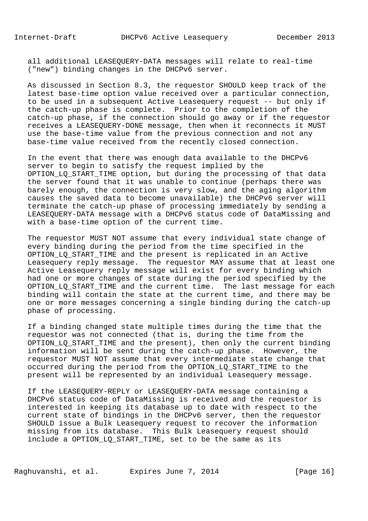all additional LEASEQUERY-DATA messages will relate to real-time ("new") binding changes in the DHCPv6 server.

 As discussed in Section 8.3, the requestor SHOULD keep track of the latest base-time option value received over a particular connection, to be used in a subsequent Active Leasequery request -- but only if the catch-up phase is complete. Prior to the completion of the catch-up phase, if the connection should go away or if the requestor receives a LEASEQUERY-DONE message, then when it reconnects it MUST use the base-time value from the previous connection and not any base-time value received from the recently closed connection.

 In the event that there was enough data available to the DHCPv6 server to begin to satisfy the request implied by the OPTION\_LQ\_START\_TIME option, but during the processing of that data the server found that it was unable to continue (perhaps there was barely enough, the connection is very slow, and the aging algorithm causes the saved data to become unavailable) the DHCPv6 server will terminate the catch-up phase of processing immediately by sending a LEASEQUERY-DATA message with a DHCPv6 status code of DataMissing and with a base-time option of the current time.

 The requestor MUST NOT assume that every individual state change of every binding during the period from the time specified in the OPTION\_LQ\_START\_TIME and the present is replicated in an Active Leasequery reply message. The requestor MAY assume that at least one Active Leasequery reply message will exist for every binding which had one or more changes of state during the period specified by the OPTION\_LQ\_START\_TIME and the current time. The last message for each binding will contain the state at the current time, and there may be one or more messages concerning a single binding during the catch-up phase of processing.

 If a binding changed state multiple times during the time that the requestor was not connected (that is, during the time from the OPTION\_LQ\_START\_TIME and the present), then only the current binding information will be sent during the catch-up phase. However, the requestor MUST NOT assume that every intermediate state change that occurred during the period from the OPTION\_LQ\_START\_TIME to the present will be represented by an individual Leasequery message.

 If the LEASEQUERY-REPLY or LEASEQUERY-DATA message containing a DHCPv6 status code of DataMissing is received and the requestor is interested in keeping its database up to date with respect to the current state of bindings in the DHCPv6 server, then the requestor SHOULD issue a Bulk Leasequery request to recover the information missing from its database. This Bulk Leasequery request should include a OPTION\_LQ\_START\_TIME, set to be the same as its

Raghuvanshi, et al. Expires June 7, 2014 [Page 16]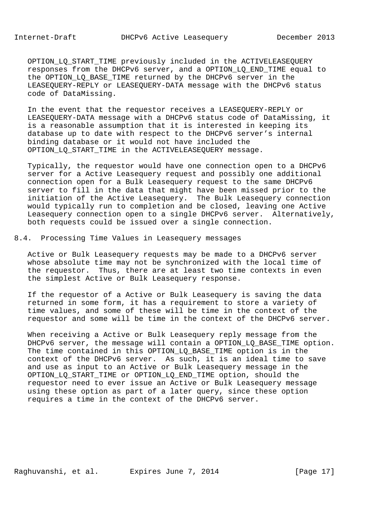OPTION LO START TIME previously included in the ACTIVELEASEQUERY responses from the DHCPv6 server, and a OPTION\_LQ\_END\_TIME equal to the OPTION\_LQ\_BASE\_TIME returned by the DHCPv6 server in the LEASEQUERY-REPLY or LEASEQUERY-DATA message with the DHCPv6 status code of DataMissing.

 In the event that the requestor receives a LEASEQUERY-REPLY or LEASEQUERY-DATA message with a DHCPv6 status code of DataMissing, it is a reasonable assumption that it is interested in keeping its database up to date with respect to the DHCPv6 server's internal binding database or it would not have included the OPTION\_LQ\_START\_TIME in the ACTIVELEASEQUERY message.

 Typically, the requestor would have one connection open to a DHCPv6 server for a Active Leasequery request and possibly one additional connection open for a Bulk Leasequery request to the same DHCPv6 server to fill in the data that might have been missed prior to the initiation of the Active Leasequery. The Bulk Leasequery connection would typically run to completion and be closed, leaving one Active Leasequery connection open to a single DHCPv6 server. Alternatively, both requests could be issued over a single connection.

8.4. Processing Time Values in Leasequery messages

 Active or Bulk Leasequery requests may be made to a DHCPv6 server whose absolute time may not be synchronized with the local time of the requestor. Thus, there are at least two time contexts in even the simplest Active or Bulk Leasequery response.

 If the requestor of a Active or Bulk Leasequery is saving the data returned in some form, it has a requirement to store a variety of time values, and some of these will be time in the context of the requestor and some will be time in the context of the DHCPv6 server.

 When receiving a Active or Bulk Leasequery reply message from the DHCPv6 server, the message will contain a OPTION\_LQ\_BASE\_TIME option. The time contained in this OPTION\_LQ\_BASE\_TIME option is in the context of the DHCPv6 server. As such, it is an ideal time to save and use as input to an Active or Bulk Leasequery message in the OPTION\_LQ\_START\_TIME or OPTION\_LQ\_END\_TIME option, should the requestor need to ever issue an Active or Bulk Leasequery message using these option as part of a later query, since these option requires a time in the context of the DHCPv6 server.

Raghuvanshi, et al. Expires June 7, 2014 [Page 17]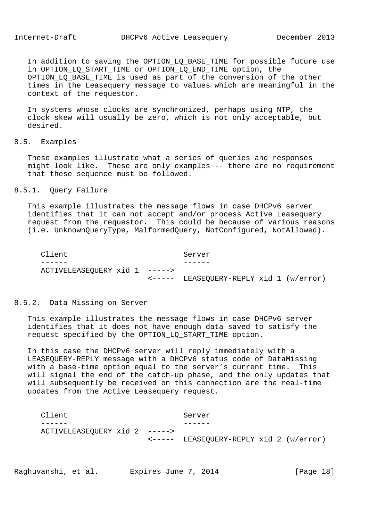In addition to saving the OPTION LQ BASE TIME for possible future use in OPTION\_LQ\_START\_TIME or OPTION\_LQ\_END\_TIME option, the OPTION\_LQ\_BASE\_TIME is used as part of the conversion of the other times in the Leasequery message to values which are meaningful in the context of the requestor.

 In systems whose clocks are synchronized, perhaps using NTP, the clock skew will usually be zero, which is not only acceptable, but desired.

8.5. Examples

 These examples illustrate what a series of queries and responses might look like. These are only examples -- there are no requirement that these sequence must be followed.

#### 8.5.1. Query Failure

 This example illustrates the message flows in case DHCPv6 server identifies that it can not accept and/or process Active Leasequery request from the requestor. This could be because of various reasons (i.e. UnknownQueryType, MalformedQuery, NotConfigured, NotAllowed).

| Client                        | Server                                  |  |
|-------------------------------|-----------------------------------------|--|
|                               |                                         |  |
| ACTIVELEASEQUERY xid 1 -----> |                                         |  |
|                               | <----- LEASEQUERY-REPLY xid 1 (w/error) |  |

## 8.5.2. Data Missing on Server

 This example illustrates the message flows in case DHCPv6 server identifies that it does not have enough data saved to satisfy the request specified by the OPTION\_LQ\_START\_TIME option.

 In this case the DHCPv6 server will reply immediately with a LEASEQUERY-REPLY message with a DHCPv6 status code of DataMissing with a base-time option equal to the server's current time. This will signal the end of the catch-up phase, and the only updates that will subsequently be received on this connection are the real-time updates from the Active Leasequery request.

| Client                        |  | Server                                           |  |  |  |
|-------------------------------|--|--------------------------------------------------|--|--|--|
|                               |  |                                                  |  |  |  |
| ACTIVELEASEQUERY xid 2 -----> |  |                                                  |  |  |  |
|                               |  | $\leftarrow---$ LEASEQUERY-REPLY xid 2 (w/error) |  |  |  |

Raghuvanshi, et al. Expires June 7, 2014 [Page 18]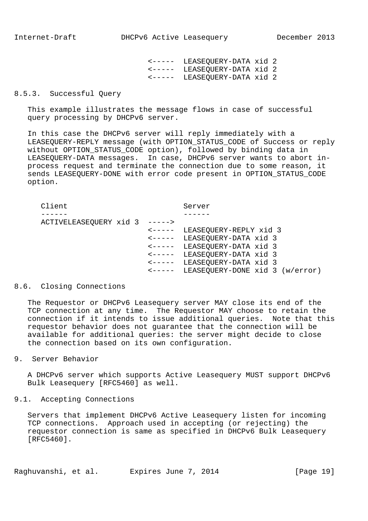<----- LEASEQUERY-DATA xid 2 <----- LEASEQUERY-DATA xid 2 <----- LEASEQUERY-DATA xid 2

#### 8.5.3. Successful Query

 This example illustrates the message flows in case of successful query processing by DHCPv6 server.

 In this case the DHCPv6 server will reply immediately with a LEASEQUERY-REPLY message (with OPTION\_STATUS\_CODE of Success or reply without OPTION\_STATUS\_CODE option), followed by binding data in LEASEQUERY-DATA messages. In case, DHCPv6 server wants to abort in process request and terminate the connection due to some reason, it sends LEASEQUERY-DONE with error code present in OPTION\_STATUS\_CODE option.

Client Server ------ ------ ACTIVELEASEQUERY xid 3 -----> <----- LEASEQUERY-REPLY xid 3 <----- LEASEQUERY-DATA xid 3 <----- LEASEQUERY-DATA xid 3 <----- LEASEQUERY-DATA xid 3 <----- LEASEQUERY-DATA xid 3 <----- LEASEQUERY-DONE xid 3 (w/error)

## 8.6. Closing Connections

 The Requestor or DHCPv6 Leasequery server MAY close its end of the TCP connection at any time. The Requestor MAY choose to retain the connection if it intends to issue additional queries. Note that this requestor behavior does not guarantee that the connection will be available for additional queries: the server might decide to close the connection based on its own configuration.

9. Server Behavior

 A DHCPv6 server which supports Active Leasequery MUST support DHCPv6 Bulk Leasequery [RFC5460] as well.

9.1. Accepting Connections

 Servers that implement DHCPv6 Active Leasequery listen for incoming TCP connections. Approach used in accepting (or rejecting) the requestor connection is same as specified in DHCPv6 Bulk Leasequery [RFC5460].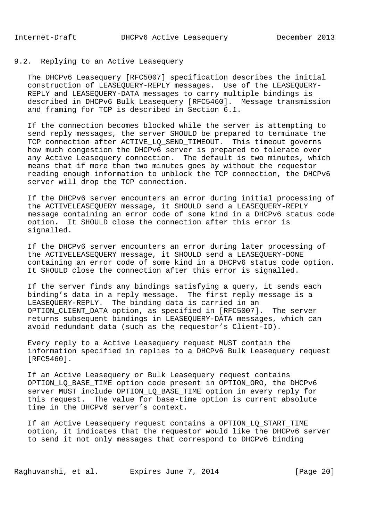# 9.2. Replying to an Active Leasequery

 The DHCPv6 Leasequery [RFC5007] specification describes the initial construction of LEASEQUERY-REPLY messages. Use of the LEASEQUERY- REPLY and LEASEQUERY-DATA messages to carry multiple bindings is described in DHCPv6 Bulk Leasequery [RFC5460]. Message transmission and framing for TCP is described in Section 6.1.

 If the connection becomes blocked while the server is attempting to send reply messages, the server SHOULD be prepared to terminate the TCP connection after ACTIVE\_LQ\_SEND\_TIMEOUT. This timeout governs how much congestion the DHCPv6 server is prepared to tolerate over any Active Leasequery connection. The default is two minutes, which means that if more than two minutes goes by without the requestor reading enough information to unblock the TCP connection, the DHCPv6 server will drop the TCP connection.

 If the DHCPv6 server encounters an error during initial processing of the ACTIVELEASEQUERY message, it SHOULD send a LEASEQUERY-REPLY message containing an error code of some kind in a DHCPv6 status code option. It SHOULD close the connection after this error is signalled.

 If the DHCPv6 server encounters an error during later processing of the ACTIVELEASEQUERY message, it SHOULD send a LEASEQUERY-DONE containing an error code of some kind in a DHCPv6 status code option. It SHOULD close the connection after this error is signalled.

 If the server finds any bindings satisfying a query, it sends each binding's data in a reply message. The first reply message is a LEASEQUERY-REPLY. The binding data is carried in an OPTION CLIENT\_DATA option, as specified in [RFC5007]. The server returns subsequent bindings in LEASEQUERY-DATA messages, which can avoid redundant data (such as the requestor's Client-ID).

 Every reply to a Active Leasequery request MUST contain the information specified in replies to a DHCPv6 Bulk Leasequery request [RFC5460].

 If an Active Leasequery or Bulk Leasequery request contains OPTION LO BASE TIME option code present in OPTION ORO, the DHCPv6 server MUST include OPTION\_LQ\_BASE\_TIME option in every reply for this request. The value for base-time option is current absolute time in the DHCPv6 server's context.

 If an Active Leasequery request contains a OPTION\_LQ\_START\_TIME option, it indicates that the requestor would like the DHCPv6 server to send it not only messages that correspond to DHCPv6 binding

Raghuvanshi, et al. Expires June 7, 2014 [Page 20]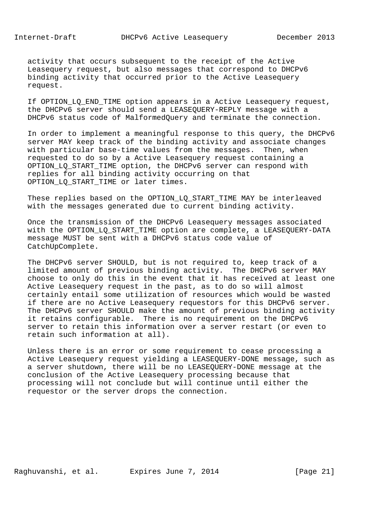activity that occurs subsequent to the receipt of the Active Leasequery request, but also messages that correspond to DHCPv6 binding activity that occurred prior to the Active Leasequery request.

 If OPTION\_LQ\_END\_TIME option appears in a Active Leasequery request, the DHCPv6 server should send a LEASEQUERY-REPLY message with a DHCPv6 status code of MalformedQuery and terminate the connection.

 In order to implement a meaningful response to this query, the DHCPv6 server MAY keep track of the binding activity and associate changes with particular base-time values from the messages. Then, when requested to do so by a Active Leasequery request containing a OPTION LO START TIME option, the DHCPv6 server can respond with replies for all binding activity occurring on that OPTION LO START\_TIME or later times.

These replies based on the OPTION\_LQ\_START\_TIME MAY be interleaved with the messages generated due to current binding activity.

 Once the transmission of the DHCPv6 Leasequery messages associated with the OPTION LO START TIME option are complete, a LEASEQUERY-DATA message MUST be sent with a DHCPv6 status code value of CatchUpComplete.

 The DHCPv6 server SHOULD, but is not required to, keep track of a limited amount of previous binding activity. The DHCPv6 server MAY choose to only do this in the event that it has received at least one Active Leasequery request in the past, as to do so will almost certainly entail some utilization of resources which would be wasted if there are no Active Leasequery requestors for this DHCPv6 server. The DHCPv6 server SHOULD make the amount of previous binding activity it retains configurable. There is no requirement on the DHCPv6 server to retain this information over a server restart (or even to retain such information at all).

 Unless there is an error or some requirement to cease processing a Active Leasequery request yielding a LEASEQUERY-DONE message, such as a server shutdown, there will be no LEASEQUERY-DONE message at the conclusion of the Active Leasequery processing because that processing will not conclude but will continue until either the requestor or the server drops the connection.

Raghuvanshi, et al. Expires June 7, 2014 [Page 21]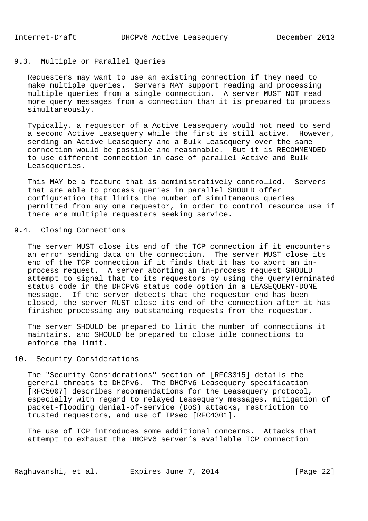# 9.3. Multiple or Parallel Queries

 Requesters may want to use an existing connection if they need to make multiple queries. Servers MAY support reading and processing multiple queries from a single connection. A server MUST NOT read more query messages from a connection than it is prepared to process simultaneously.

 Typically, a requestor of a Active Leasequery would not need to send a second Active Leasequery while the first is still active. However, sending an Active Leasequery and a Bulk Leasequery over the same connection would be possible and reasonable. But it is RECOMMENDED to use different connection in case of parallel Active and Bulk Leasequeries.

 This MAY be a feature that is administratively controlled. Servers that are able to process queries in parallel SHOULD offer configuration that limits the number of simultaneous queries permitted from any one requestor, in order to control resource use if there are multiple requesters seeking service.

# 9.4. Closing Connections

 The server MUST close its end of the TCP connection if it encounters an error sending data on the connection. The server MUST close its end of the TCP connection if it finds that it has to abort an in process request. A server aborting an in-process request SHOULD attempt to signal that to its requestors by using the QueryTerminated status code in the DHCPv6 status code option in a LEASEQUERY-DONE message. If the server detects that the requestor end has been closed, the server MUST close its end of the connection after it has finished processing any outstanding requests from the requestor.

 The server SHOULD be prepared to limit the number of connections it maintains, and SHOULD be prepared to close idle connections to enforce the limit.

## 10. Security Considerations

 The "Security Considerations" section of [RFC3315] details the general threats to DHCPv6. The DHCPv6 Leasequery specification [RFC5007] describes recommendations for the Leasequery protocol, especially with regard to relayed Leasequery messages, mitigation of packet-flooding denial-of-service (DoS) attacks, restriction to trusted requestors, and use of IPsec [RFC4301].

 The use of TCP introduces some additional concerns. Attacks that attempt to exhaust the DHCPv6 server's available TCP connection

Raghuvanshi, et al. Expires June 7, 2014 [Page 22]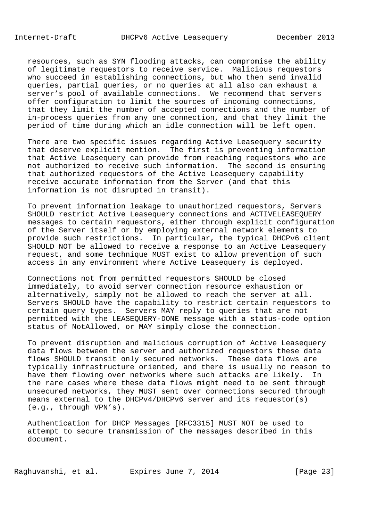resources, such as SYN flooding attacks, can compromise the ability of legitimate requestors to receive service. Malicious requestors who succeed in establishing connections, but who then send invalid queries, partial queries, or no queries at all also can exhaust a server's pool of available connections. We recommend that servers offer configuration to limit the sources of incoming connections, that they limit the number of accepted connections and the number of in-process queries from any one connection, and that they limit the period of time during which an idle connection will be left open.

 There are two specific issues regarding Active Leasequery security that deserve explicit mention. The first is preventing information that Active Leasequery can provide from reaching requestors who are not authorized to receive such information. The second is ensuring that authorized requestors of the Active Leasequery capability receive accurate information from the Server (and that this information is not disrupted in transit).

 To prevent information leakage to unauthorized requestors, Servers SHOULD restrict Active Leasequery connections and ACTIVELEASEQUERY messages to certain requestors, either through explicit configuration of the Server itself or by employing external network elements to provide such restrictions. In particular, the typical DHCPv6 client SHOULD NOT be allowed to receive a response to an Active Leasequery request, and some technique MUST exist to allow prevention of such access in any environment where Active Leasequery is deployed.

 Connections not from permitted requestors SHOULD be closed immediately, to avoid server connection resource exhaustion or alternatively, simply not be allowed to reach the server at all. Servers SHOULD have the capability to restrict certain requestors to certain query types. Servers MAY reply to queries that are not permitted with the LEASEQUERY-DONE message with a status-code option status of NotAllowed, or MAY simply close the connection.

 To prevent disruption and malicious corruption of Active Leasequery data flows between the server and authorized requestors these data flows SHOULD transit only secured networks. These data flows are typically infrastructure oriented, and there is usually no reason to have them flowing over networks where such attacks are likely. In the rare cases where these data flows might need to be sent through unsecured networks, they MUST sent over connections secured through means external to the DHCPv4/DHCPv6 server and its requestor(s) (e.g., through VPN's).

 Authentication for DHCP Messages [RFC3315] MUST NOT be used to attempt to secure transmission of the messages described in this document.

Raghuvanshi, et al. Expires June 7, 2014 [Page 23]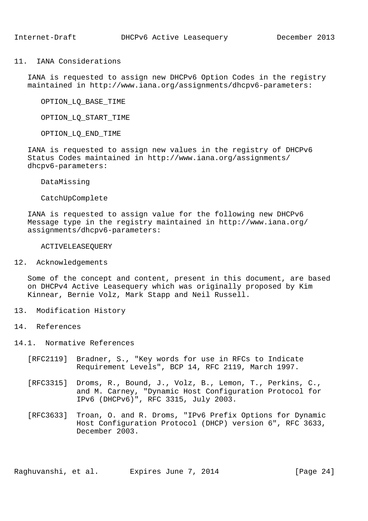#### 11. IANA Considerations

 IANA is requested to assign new DHCPv6 Option Codes in the registry maintained in http://www.iana.org/assignments/dhcpv6-parameters:

OPTION\_LQ\_BASE\_TIME

OPTION\_LQ\_START\_TIME

OPTION\_LQ\_END\_TIME

 IANA is requested to assign new values in the registry of DHCPv6 Status Codes maintained in http://www.iana.org/assignments/ dhcpv6-parameters:

DataMissing

CatchUpComplete

 IANA is requested to assign value for the following new DHCPv6 Message type in the registry maintained in http://www.iana.org/ assignments/dhcpv6-parameters:

ACTIVELEASEQUERY

12. Acknowledgements

 Some of the concept and content, present in this document, are based on DHCPv4 Active Leasequery which was originally proposed by Kim Kinnear, Bernie Volz, Mark Stapp and Neil Russell.

- 13. Modification History
- 14. References

14.1. Normative References

- [RFC2119] Bradner, S., "Key words for use in RFCs to Indicate Requirement Levels", BCP 14, RFC 2119, March 1997.
- [RFC3315] Droms, R., Bound, J., Volz, B., Lemon, T., Perkins, C., and M. Carney, "Dynamic Host Configuration Protocol for IPv6 (DHCPv6)", RFC 3315, July 2003.
- [RFC3633] Troan, O. and R. Droms, "IPv6 Prefix Options for Dynamic Host Configuration Protocol (DHCP) version 6", RFC 3633, December 2003.

Raghuvanshi, et al. Expires June 7, 2014 [Page 24]